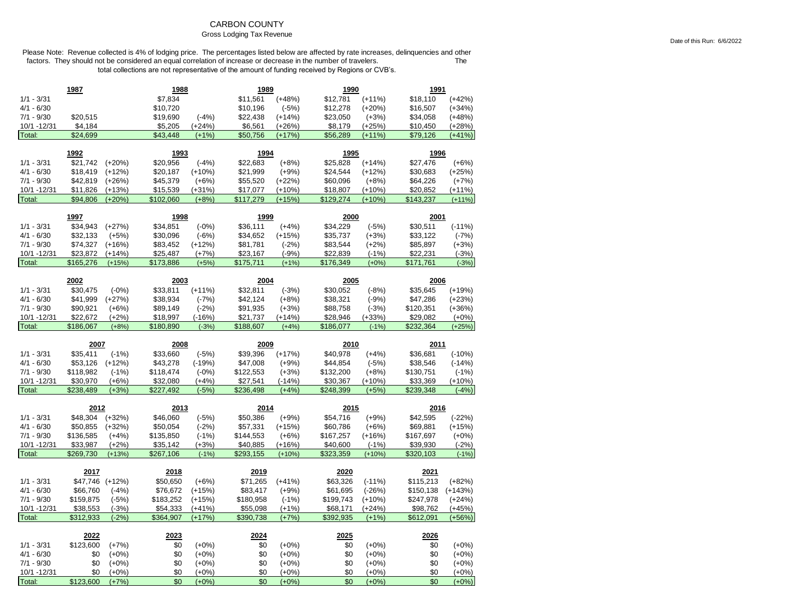## CARBON COUNTY

### Gross Lodging Tax Revenue

|                        | 1987                  |                     | 1988                  |                    |                       | 1989                 |                       | 1990                |                       | 1991               |  |
|------------------------|-----------------------|---------------------|-----------------------|--------------------|-----------------------|----------------------|-----------------------|---------------------|-----------------------|--------------------|--|
| $1/1 - 3/31$           |                       |                     | \$7,834               |                    | \$11,561              | $(+48%)$             | \$12,781              | $(+11%)$            | \$18,110              | $(+42%)$           |  |
| $4/1 - 6/30$           |                       |                     | \$10,720              |                    | \$10,196              | $(-5%)$              | \$12,278              | $(+20%)$            | \$16,507              | $(+34%)$           |  |
| $7/1 - 9/30$           | \$20,515              |                     | \$19,690              | $(-4%)$            | \$22,438              | $(+14%)$             | \$23,050              | $(+3%)$             | \$34,058              | $(+48%)$           |  |
| 10/1 - 12/31           | \$4,184               |                     | \$5,205               | $(+24%)$           | \$6,561               | $(+26%)$             | \$8,179               | $(+25%)$            | \$10,450              | $(+28%)$           |  |
| Total:                 | \$24,699              |                     | \$43,448              | $(+1%)$            | \$50,756              | $(+17%)$             | \$56,289              | $(+11%)$            | \$79,126              | $(+41%)$           |  |
|                        |                       |                     |                       |                    |                       |                      |                       |                     |                       |                    |  |
|                        | 1992                  |                     | 1993                  |                    | 1994                  |                      | 1995                  |                     | 1996                  |                    |  |
| $1/1 - 3/31$           | \$21,742              | $(+20%)$            | \$20,956              | $(-4%)$            | \$22,683              | $(+8%)$              | \$25,828              | $(+14%)$            | \$27,476              | $(+6%)$            |  |
| $4/1 - 6/30$           | \$18,419              | $(+12%)$            | \$20,187              | $(+10%)$           | \$21,999              | $(+9%)$              | \$24,544              | $(+12%)$            | \$30,683              | $(+25%)$           |  |
| $7/1 - 9/30$           | \$42,819              | $(+26%)$            | \$45,379              | $(+6%)$            | \$55,520              | $(+22%)$             | \$60,096              | $(+8%)$             | \$64,226              | $(+7%)$            |  |
| 10/1 -12/31            | \$11,826              | $(+13%)$            | \$15,539              | $(+31%)$           | \$17,077              | $(+10%)$             | \$18,807              | (+10%)              | \$20,852              | $(+11%)$           |  |
| Total:                 | \$94,806              | $(+20%)$            | \$102,060             | $(+8%)$            | \$117,279             | $(+15%)$             | \$129,274             | $(+10%)$            | \$143,237             | $(+11%)$           |  |
|                        | 1997                  |                     | 1998                  |                    | 1999                  |                      | 2000                  |                     | 2001                  |                    |  |
| $1/1 - 3/31$           | \$34,943              | $(+27%)$            | \$34,851              | $(-0%)$            | \$36,111              | $(+4%)$              | \$34,229              | $(-5%)$             | \$30,511              | $(-11%)$           |  |
| $4/1 - 6/30$           | \$32,133              | $(+5%)$             | \$30,096              | $(-6%)$            | \$34,652              | $(+15%)$             | \$35,737              | $(+3%)$             | \$33,122              | $(-7%)$            |  |
| $7/1 - 9/30$           | \$74,327              | $(+16%)$            | \$83,452              | $(+12%)$           | \$81,781              | $(-2%)$              | \$83,544              | $(+2%)$             | \$85,897              | $(+3%)$            |  |
| 10/1 -12/31            | \$23,872              | (+14%)              | \$25,487              | $(+7%)$            | \$23,167              | $(-9%)$              | \$22,839              | $(-1%)$             | \$22,231              | $(-3%)$            |  |
| Total:                 | \$165,276             | $(+15%)$            | \$173,886             | $(+5%)$            | \$175,711             | $(+1%)$              | \$176,349             | $(+0%)$             | \$171,761             | $(-3%)$            |  |
|                        |                       |                     |                       |                    |                       |                      |                       |                     |                       |                    |  |
| $1/1 - 3/31$           | 2002<br>\$30,475      | $(-0%)$             | 2003<br>\$33,811      | $(+11%)$           | 2004<br>\$32,811      | $(-3%)$              | 2005<br>\$30,052      | $(-8%)$             | 2006<br>\$35,645      | $(+19%)$           |  |
| $4/1 - 6/30$           | \$41,999              | $(+27%)$            | \$38,934              | $(-7%)$            | \$42,124              | $(+8%)$              | \$38,321              | $(-9%)$             | \$47,286              | $(+23%)$           |  |
| $7/1 - 9/30$           | \$90,921              | $(+6%)$             | \$89,149              | $(-2%)$            | \$91,935              | $(+3%)$              | \$88,758              | $(-3%)$             | \$120,351             | $(+36%)$           |  |
| 10/1 - 12/31           | \$22,672              | $(+2%)$             | \$18,997              | $(-16%)$           | \$21,737              | $(+14%)$             | \$28,946              | $(+33%)$            | \$29,082              | $(+0%)$            |  |
| Total:                 | \$186,067             | $(+8%)$             | \$180,890             | $(-3%)$            | \$188,607             | $(+4%)$              | \$186,077             | $(-1%)$             | \$232,364             | $(+25%)$           |  |
|                        |                       |                     |                       |                    |                       |                      |                       |                     |                       |                    |  |
|                        |                       |                     |                       |                    |                       |                      |                       |                     |                       |                    |  |
|                        | 2007                  |                     | 2008                  |                    | 2009                  |                      | 2010                  |                     | 2011                  |                    |  |
| $1/1 - 3/31$           | \$35,411              | $(-1%)$             | \$33,660              | $(-5%)$            | \$39,396              | $(+17%)$             | \$40,978              | $(+4%)$             | \$36,681              | $(-10%)$           |  |
| $4/1 - 6/30$           | \$53,126              | $(+12%)$            | \$43,278              | $(-19%)$           | \$47,008              | $(+9%)$              | \$44,854              | $(-5%)$             | \$38,546              | $(-14%)$           |  |
| $7/1 - 9/30$           | \$118,982             | $(-1%)$             | \$118,474             | $(-0%)$            | \$122,553             | $(+3%)$              | \$132,200             | $(+8%)$             | \$130,751             | $(-1%)$            |  |
| 10/1 - 12/31           | \$30,970              | $(+6%)$             | \$32,080              | $(+4%)$            | \$27,541              | $(-14%)$             | \$30,367              | $(+10%)$            | \$33,369              | $(+10%)$           |  |
| Total:                 | \$238,489             | $(+3%)$             | \$227,492             | $(-5%)$            | \$236,498             | $(+4%)$              | \$248,399             | $(+5%)$             | \$239,348             | $(-4%)$            |  |
|                        | 2012                  |                     | 2013                  |                    | 2014                  |                      | 2015                  |                     | 2016                  |                    |  |
|                        |                       |                     |                       |                    |                       |                      |                       |                     |                       |                    |  |
| $1/1 - 3/31$           | \$48,304              | $(+32%)$            | \$46,060              | $(-5%)$            | \$50,386              | $(+9%)$              | \$54,716              | $(+9%)$             | \$42,595              | $(-22%)$           |  |
| $4/1 - 6/30$           | \$50,855              | $(+32%)$            | \$50,054              | $(-2%)$            | \$57,331              | $(+15%)$             | \$60,786              | $(+6%)$             | \$69,881              | $(+15%)$           |  |
| $7/1 - 9/30$           | \$136,585             | $(+4%)$             | \$135,850             | $(-1%)$            | \$144,553             | $(+6%)$              | \$167,257             | $(+16%)$            | \$167,697             | $(+0%)$            |  |
| 10/1 - 12/31<br>Total: | \$33,987<br>\$269,730 | $(+2%)$<br>$(+13%)$ | \$35,142<br>\$267,106 | $(+3%)$<br>$(-1%)$ | \$40,885<br>\$293,155 | $(+16%)$<br>$(+10%)$ | \$40,600<br>\$323,359 | $(-1%)$<br>$(+10%)$ | \$39,930<br>\$320,103 | $(-2%)$<br>$(-1%)$ |  |
|                        |                       |                     |                       |                    |                       |                      |                       |                     |                       |                    |  |
|                        | 2017                  |                     | 2018                  |                    | 2019                  |                      | 2020                  |                     | 2021                  |                    |  |
| $1/1 - 3/31$           | \$47,746              | $(+12%)$            | \$50,650              | $(+6%)$            | \$71,265              | $(+41%)$             | \$63,326              | $(-11%)$            | \$115,213             | $(+82%)$           |  |
| $4/1 - 6/30$           | \$66,760              | $(-4%)$             | \$76,672              | $(+15%)$           | \$83,417              | $(+9%)$              | \$61,695              | $(-26%)$            | \$150,138             | $(+143%)$          |  |
| $7/1 - 9/30$           | \$159,875             | $(-5%)$             | \$183,252             | $(+15%)$           | \$180,958             | $(-1%)$              | \$199,743             | $(+10%)$            | \$247,978             | $(+24%)$           |  |
| 10/1 - 12/31           | \$38,553              | $(-3%)$             | \$54,333              | $(+41%)$           | \$55,098              | $(+1%)$              | \$68,171              | $(+24%)$            | \$98,762              | $(+45%)$           |  |
| Total:                 | \$312,933             | $(-2%)$             | \$364,907             | $(+17%)$           | \$390,738             | $(+7%)$              | \$392,935             | $(+1%)$             | \$612,091             | $(+56%)$           |  |
|                        | 2022                  |                     | 2023                  |                    | 2024                  |                      | 2025                  |                     | 2026                  |                    |  |
| $1/1 - 3/31$           | \$123,600             | $(+7%)$             | \$0                   | $(+0%)$            | \$0                   | $(+0\%)$             | \$0                   | $(+0\%)$            | \$0                   | $(+0\%)$           |  |
| $4/1 - 6/30$           | \$0                   | $(+0\%)$            | \$0                   | $(+0%)$            | \$0                   | $(+0%)$              | \$0                   | $(+0%)$             | \$0                   | $(+0%)$            |  |
| $7/1 - 9/30$           | \$0                   | $(+0%)$             | \$0                   | $(+0%)$            | \$0                   | $(+0\%)$             | \$0                   | $(+0%)$             | \$0                   | $(+0%)$            |  |
| 10/1 -12/31            | \$0                   | $(+0%)$             | \$0                   | $(+0%)$            | \$0                   | $(+0\%)$             | \$0                   | $(+0%)$             | \$0                   | $(+0\%)$           |  |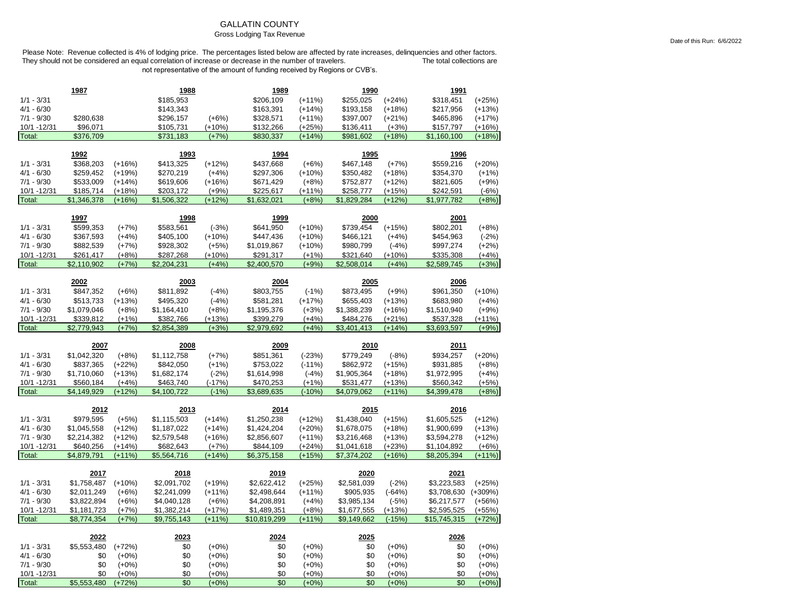### GALLATIN COUNTY

### Gross Lodging Tax Revenue

Date of this Run: 6/6/2022

|                              | 1987                     |                      | 1988                     |                     | 1989                     |                     | 1990                     |                      | 1991                     |                     |
|------------------------------|--------------------------|----------------------|--------------------------|---------------------|--------------------------|---------------------|--------------------------|----------------------|--------------------------|---------------------|
| $1/1 - 3/31$                 |                          |                      | \$185,953                |                     | \$206,109                | $(+11%)$            | \$255,025                | $(+24%)$             | \$318,451                | $(+25%)$            |
| $4/1 - 6/30$                 |                          |                      | \$143,343                |                     | \$163,391                | $(+14%)$            | \$193,158                | $(+18%)$             | \$217,956                | $(+13%)$            |
| $7/1 - 9/30$                 | \$280,638                |                      | \$296,157                | $(+6%)$             | \$328,571                | $(+11%)$            | \$397,007                | $(+21%)$             | \$465,896                | $(+17%)$            |
| 10/1 - 12/31                 | \$96,071                 |                      | \$105,731                | $(+10%)$            | \$132,266                | $(+25%)$            | \$136,411                | $(+3%)$              | \$157,797                | $(+16%)$            |
| Total:                       | \$376,709                |                      | \$731,183                | $(+7%)$             | \$830,337                | (+14%)              | \$981,602                | (+18%)               | \$1,160,100              | $(+18%)$            |
|                              |                          |                      |                          |                     |                          |                     |                          |                      |                          |                     |
|                              | 1992                     |                      | 1993                     |                     | 1994                     |                     | 1995                     |                      | 1996                     |                     |
| $1/1 - 3/31$<br>$4/1 - 6/30$ | \$368,203                | $(+16%)$             | \$413,325                | $(+12%)$            | \$437,668                | $(+6%)$             | \$467,148                | $(+7%)$              | \$559,216                | $(+20%)$            |
|                              | \$259,452                | $(+19%)$             | \$270,219                | $(+4%)$             | \$297,306                | $(+10%)$            | \$350,482                | $(+18%)$             | \$354,370                | $(+1%)$             |
| $7/1 - 9/30$                 | \$533,009                | $(+14%)$             | \$619,606                | $(+16%)$            | \$671,429                | $(+8%)$             | \$752,877                | $(+12%)$             | \$821,605                | $(+9%)$             |
| 10/1 -12/31<br>Total:        | \$185,714<br>\$1,346,378 | $(+18%)$<br>$(+16%)$ | \$203,172<br>\$1,506,322 | $(+9%)$<br>$(+12%)$ | \$225,617<br>\$1,632,021 | $(+11%)$<br>$(+8%)$ | \$258,777<br>\$1,829,284 | $(+15%)$<br>$(+12%)$ | \$242,591<br>\$1,977,782 | $(-6%)$<br>$(+8%)$  |
|                              |                          |                      |                          |                     |                          |                     |                          |                      |                          |                     |
|                              | 1997                     |                      | 1998                     |                     | 1999                     |                     | 2000                     |                      | 2001                     |                     |
| $1/1 - 3/31$                 | \$599,353                | $(+7%)$              | \$583,561                | $(-3%)$             | \$641,950                | $(+10%)$            | \$739,454                | $(+15%)$             | \$802,201                | $(+8%)$             |
| $4/1 - 6/30$                 | \$367,593                | $(+4%)$              | \$405,100                | $(+10%)$            | \$447,436                | $(+10%)$            | \$466,121                | $(+4%)$              | \$454,963                | $(-2%)$             |
| $7/1 - 9/30$                 | \$882,539                | $(+7%)$              | \$928,302                | $(+5%)$             | \$1,019,867              | $(+10%)$            | \$980,799                | $(-4%)$              | \$997,274                | $(+2%)$             |
| 10/1 - 12/31                 | \$261,417                | $(+8%)$              | \$287,268                | $(+10%)$            | \$291,317                | $(+1%)$             | \$321,640                | $(+10%)$             | \$335,308                | $(+4%)$             |
| Total:                       | \$2,110,902              | $(+7%)$              | \$2,204,231              | $(+4%)$             | \$2,400,570              | $(+9%$              | \$2,508,014              | $(+4%)$              | \$2,589,745              | $(+3%)$             |
|                              |                          |                      |                          |                     |                          |                     |                          |                      |                          |                     |
|                              | 2002                     |                      | 2003                     |                     | 2004                     |                     | 2005                     |                      | 2006                     |                     |
| $1/1 - 3/31$                 | \$847,352                | $(+6%)$              | \$811,892                | $(-4%)$             | \$803,755                | $(-1%)$             | \$873,495                | $(+9%)$              | \$961,350                | $(+10%)$            |
| $4/1 - 6/30$                 | \$513,733                | $(+13%)$             | \$495,320                | $(-4%)$             | \$581,281                | $(+17%)$            | \$655,403                | $(+13%)$             | \$683,980                | $(+4%)$             |
| $7/1 - 9/30$                 | \$1,079,046              | $(+8%)$              | \$1,164,410              | $(+8%)$             | \$1,195,376              | $(+3%)$             | \$1,388,239              | $(+16%)$             | \$1,510,940              | $(+9%)$             |
| 10/1 - 12/31                 | \$339,812                | $(+1%)$              | \$382,766                | (+13%)              | \$399,279                | $(+4%)$             | \$484,276<br>\$3,401,413 | $(+21%)$<br>$(+14%)$ | \$537,328<br>\$3,693,597 | $(+11%)$<br>$(+9%)$ |
|                              |                          |                      |                          |                     |                          |                     |                          |                      |                          |                     |
| Total:                       | \$2,779,943              | $(+7%)$              | \$2,854,389              | $(+3%)$             | \$2,979,692              | $(+4%)$             |                          |                      |                          |                     |
|                              | 2007                     |                      | 2008                     |                     | 2009                     |                     | 2010                     |                      | 2011                     |                     |
| $1/1 - 3/31$                 | \$1,042,320              | $(+8%)$              | \$1,112,758              | $(+7%)$             | \$851,361                | $(-23%)$            | \$779,249                | $(-8%)$              | \$934,257                | $(+20%)$            |
| $4/1 - 6/30$                 | \$837,365                | $(+22%)$             | \$842,050                | $(+1%)$             | \$753,022                | $(-11%)$            | \$862,972                | $(+15%)$             | \$931,885                | $(+8%)$             |
| $7/1 - 9/30$                 | \$1,710,060              | $(+13%)$             | \$1,682,174              | $(-2%)$             | \$1,614,998              | $(-4%)$             | \$1,905,364              | $(+18%)$             | \$1,972,995              | $(+4%)$             |
| 10/1 - 12/31                 | \$560,184                | $(+4%)$              | \$463,740                | $(-17%)$            | \$470,253                | $(+1%)$             | \$531,477                | $(+13%)$             | \$560,342                | $(+5%)$             |
| Total:                       | \$4,149,929              | $(+12%)$             | \$4,100,722              | $(-1%)$             | \$3,689,635              | $(-10%$             | \$4,079,062              | $(+11%)$             | \$4,399,478              | $(+8%)$             |
|                              |                          |                      |                          |                     |                          |                     |                          |                      |                          |                     |
|                              | 2012                     |                      | 2013                     |                     | 2014                     |                     | 2015                     |                      | 2016                     |                     |
| $1/1 - 3/31$                 | \$979,595                | $(+5%)$              | \$1,115,503              | $(+14%)$            | \$1,250,238              | $(+12%)$            | \$1,438,040              | $(+15%)$             | \$1,605,525              | $(+12%)$            |
| $4/1 - 6/30$                 | \$1,045,558              | $(+12%)$             | \$1,187,022              | (+14%)              | \$1,424,204              | $(+20%)$            | \$1,678,075              | $(+18%)$             | \$1,900,699              | $(+13%)$            |
| $7/1 - 9/30$                 | \$2,214,382              | $(+12%)$             | \$2,579,548              | $(+16%)$            | \$2,856,607              | $(+11%)$            | \$3,216,468              | $(+13%)$             | \$3,594,278              | $(+12%)$            |
| 10/1 - 12/31                 | \$640,256                | $(+14%)$             | \$682,643                | $(+7%)$             | \$844,109                | $(+24%)$            | \$1,041,618              | $(+23%)$             | \$1,104,892              | $(+6%)$             |
| Total:                       | \$4,879,791              | $(+11%)$             | \$5,564,716              | $(+14%)$            | \$6,375,158              | $(+15%)$            | \$7,374,202              | $(+16%)$             | \$8,205,394              | $(+11%)$            |
|                              | 2017                     |                      | 2018                     |                     | 2019                     |                     | 2020                     |                      | 2021                     |                     |
| $1/1 - 3/31$                 | \$1,758,487              | $(+10%)$             | \$2,091,702              | $(+19%)$            | \$2,622,412              | $(+25%)$            | \$2,581,039              | $(-2%)$              | \$3,223,583              | $(+25%)$            |
| $4/1 - 6/30$                 | \$2,011,249              | $(+6%)$              | \$2,241,099              | $(+11%)$            | \$2,498,644              | $(+11%)$            | \$905,935                | $(-64%)$             | \$3,708,630              | $(+309%)$           |
| $7/1 - 9/30$                 | \$3,822,894              | $(+6%)$              | \$4,040,128              | $(+6%)$             | \$4,208,891              | $(+4%)$             | \$3,985,134              | $(-5%)$              | \$6,217,577              | $(+56%)$            |
| 10/1 - 12/31                 | \$1,181,723              | $(+7%)$              | \$1,382,214              | $(+17%)$            | \$1,489,351              | $(+8%)$             | \$1,677,555              | $(+13%)$             | \$2,595,525              | $(+55%)$            |
| Total:                       | \$8,774,354              | $(+7%)$              | \$9,755,143              | $(+11%)$            | \$10,819,299             | $(+11%)$            | \$9,149,662              | $(-15%)$             | \$15,745,315             | $(+72%)$            |
|                              |                          |                      |                          |                     |                          |                     |                          |                      |                          |                     |
|                              | 2022                     |                      | 2023                     |                     | 2024                     |                     | 2025                     |                      | 2026                     |                     |
| $1/1 - 3/31$                 | \$5,553,480              | $(+72%)$             | \$0                      | $(+0%)$             | \$0                      | $(+0%)$             | \$0                      | $(+0%)$              | \$0                      | $(+0%)$             |
| $4/1 - 6/30$                 | \$0                      | $(+0%)$              | \$0                      | $(+0%)$             | \$0                      | $(+0%)$             | \$0                      | $(+0%)$              | \$0                      | $(+0%)$             |
| $7/1 - 9/30$<br>10/1 - 12/31 | \$0<br>\$0               | $(+0%)$<br>$(+0%)$   | \$0<br>\$0               | $(+0%)$<br>$(+0%)$  | \$0<br>\$0               | $(+0%)$<br>$(+0%)$  | \$0<br>\$0               | $(+0\%)$<br>$(+0%)$  | \$0<br>\$0               | $(+0%)$<br>$(+0%)$  |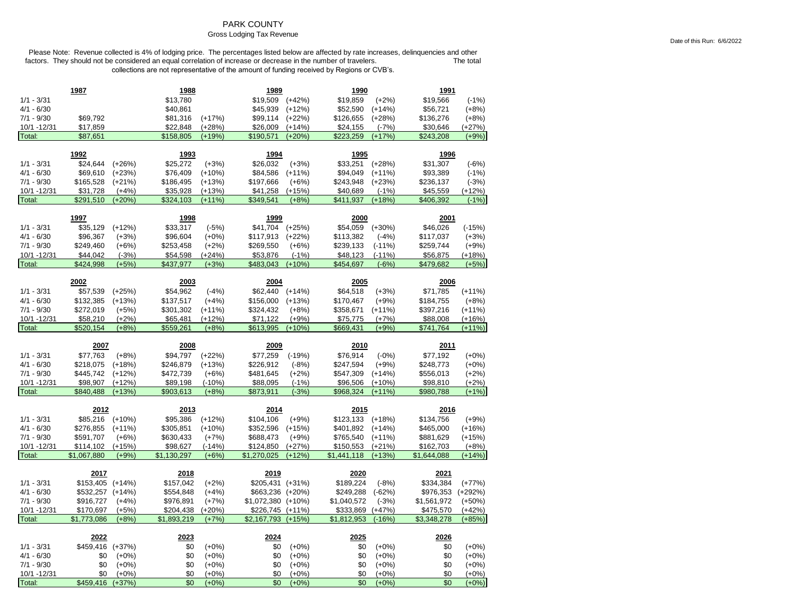## PARK COUNTY

### Gross Lodging Tax Revenue

|                             | 1987             |                    | 1988        |                    | 1989               |                    | 1990        |                    | <u>1991</u> |                    |
|-----------------------------|------------------|--------------------|-------------|--------------------|--------------------|--------------------|-------------|--------------------|-------------|--------------------|
| $1/1 - 3/31$                |                  |                    | \$13,780    |                    | \$19,509           | $(+42%)$           | \$19,859    | $(+2%)$            | \$19,566    | $(-1%)$            |
| $4/1 - 6/30$                |                  |                    | \$40,861    |                    | \$45,939           | $(+12%)$           | \$52,590    | $(+14%)$           | \$56,721    | $(+8%)$            |
| $7/1 - 9/30$                | \$69,792         |                    | \$81,316    | $(+17%)$           | \$99,114           | $(+22%)$           | \$126,655   | $(+28%)$           | \$136,276   | $(+8%)$            |
| 10/1 - 12/31                | \$17,859         |                    | \$22,848    | $(+28%)$           | \$26,009           | $(+14%)$           | \$24,155    | $(-7%)$            | \$30,646    | (+27%)             |
| Total:                      | \$87,651         |                    | \$158,805   | $(+19%)$           | \$190,571          | $(+20%)$           | \$223,259   | $(+17%)$           | \$243,208   | $(+9%)$            |
|                             | 1992             |                    | <u>1993</u> |                    | <u>1994</u>        |                    | 1995        |                    | <u>1996</u> |                    |
| $1/1 - 3/31$                | \$24,644         | $(+26%)$           | \$25,272    | $(+3%)$            | \$26,032           | $(+3%)$            | \$33,251    | $(+28%)$           | \$31,307    | $(-6%)$            |
| $4/1 - 6/30$                | \$69,610         | $(+23%)$           | \$76,409    | $(+10%)$           | \$84,586           | $(+11%)$           | \$94,049    | $(+11%)$           | \$93,389    | $(-1%)$            |
| $7/1 - 9/30$                | \$165,528        | $(+21%)$           | \$186,495   | $(+13%)$           | \$197,666          | $(+6%)$            | \$243,948   | $(+23%)$           | \$236,137   | $(-3%)$            |
| 10/1 -12/31                 | \$31,728         | $(+4%)$            | \$35,928    | $(+13%)$           | \$41,258           | $(+15%)$           | \$40,689    | $(-1%)$            | \$45,559    | $(+12%)$           |
| Total:                      | \$291,510        | $(+20%)$           | \$324,103   | $(+11%)$           | \$349,541          | $(+8%)$            | \$411,937   | $(+18%)$           | \$406,392   | $(-1%)$            |
|                             |                  |                    |             |                    |                    |                    |             |                    |             |                    |
|                             | 1997             |                    | 1998        |                    | 1999               |                    | 2000        |                    | 2001        |                    |
| $1/1 - 3/31$                | \$35,129         | $(+12%)$           | \$33,317    | $(-5%)$            | \$41,704           | $(+25%)$           | \$54,059    | $(+30%)$           | \$46,026    | $(-15%)$           |
| $4/1 - 6/30$                | \$96,367         | $(+3%)$            | \$96,604    | $(+0%)$            | \$117,913          | $(+22%)$           | \$113,382   | $(-4%)$            | \$117,037   | $(+3%)$            |
| $7/1 - 9/30$                | \$249,460        | $(+6%)$            | \$253,458   | $(+2%)$            | \$269,550          | $(+6%)$            | \$239,133   | $(-11%)$           | \$259,744   | $(+9%)$            |
| 10/1 - 12/31                | \$44,042         | $(-3%)$            | \$54,598    | $(+24%)$           | \$53,876           | $(-1%)$            | \$48,123    | $(-11%)$           | \$56,875    | $(+18%)$           |
| Total:                      | \$424,998        | $(+5%)$            | \$437.977   | $(+3%)$            | \$483,043          | $(+10%)$           | \$454,697   | $(-6%)$            | \$479,682   | $(+5%)$            |
|                             | 2002             |                    | 2003        |                    | 2004               |                    | 2005        |                    | 2006        |                    |
| $1/1 - 3/31$                | \$57,539         | $(+25%)$           | \$54,962    | $(-4%)$            | \$62,440           | $(+14%)$           | \$64,518    |                    | \$71,785    | $(+11%)$           |
| $4/1 - 6/30$                | \$132,385        | $(+13%)$           | \$137,517   | $(+4%)$            | \$156,000          | $(+13%)$           | \$170,467   | $(+3%)$<br>$(+9%)$ | \$184,755   | $(+8%)$            |
| $7/1 - 9/30$                | \$272,019        | $(+5%)$            | \$301,302   | $(+11%)$           | \$324,432          | $(+8%)$            | \$358,671   | $(+11%)$           | \$397,216   | $(+11%)$           |
| 10/1 - 12/31                | \$58,210         | $(+2%)$            | \$65,481    | $(+12%)$           | \$71,122           | $(+9%)$            | \$75,775    | $(+7%)$            | \$88,008    | $(+16%)$           |
| Total:                      | \$520,154        | $(+8%)$            | \$559,261   | $(+8%)$            | \$613,995          | $(+10%)$           | \$669,431   | $(+9%)$            | \$741,764   | $(+11%)$           |
|                             |                  |                    |             |                    |                    |                    |             |                    |             |                    |
|                             |                  |                    |             |                    |                    |                    |             |                    |             |                    |
|                             | 2007             |                    | 2008        |                    | 2009               |                    | 2010        |                    | 2011        |                    |
| $1/1 - 3/31$                | \$77,763         | $(+8%)$            | \$94,797    | $(+22%)$           | \$77,259           | $(-19%)$           | \$76,914    | $(-0%)$            | \$77,192    | $(+0%)$            |
| $4/1 - 6/30$                | \$218,075        | $(+18%)$           | \$246,879   | $(+13%)$           | \$226,912          | $(-8%)$            | \$247,594   | $(+9%)$            | \$248,773   | $(+0%)$            |
| $7/1 - 9/30$                | \$445,742        | $(+12%)$           | \$472,739   | $(+6%)$            | \$481,645          | $(+2%)$            | \$547,309   | $(+14%)$           | \$556,013   | $(+2%)$            |
| 10/1 - 12/31                | \$98,907         | $(+12%)$           | \$89,198    | $(-10%)$           | \$88,095           | $(-1%)$            | \$96,506    | $(+10%)$           | \$98,810    | $(+2%)$            |
| Total:                      | \$840,488        | $(+13%)$           | \$903,613   | $(+8%)$            | \$873,911          | $(-3%)$            | \$968,324   | $(+11%)$           | \$980,788   | $(+1%)$            |
|                             |                  |                    |             |                    |                    |                    |             |                    |             |                    |
|                             | 2012             |                    | 2013        |                    | 2014               |                    | 2015        |                    | 2016        |                    |
| $1/1 - 3/31$                | \$85,216         | $(+10%)$           | \$95,386    | $(+12%)$           | \$104,106          | $(+9%)$            | \$123,133   | $(+18%)$           | \$134,756   | $(+9%)$            |
| $4/1 - 6/30$                | \$276,855        | $(+11%)$           | \$305,851   | $(+10%)$           | \$352,596          | $(+15%)$           | \$401,892   | $(+14%)$           | \$465,000   | $(+16%)$           |
| $7/1 - 9/30$                | \$591,707        | $(+6%)$            | \$630,433   | $(+7%)$            | \$688,473          | $(+9%)$            | \$765,540   | $(+11%)$           | \$881,629   | $(+15%)$           |
| 10/1 - 12/31                | \$114,102        | $(+15%)$           | \$98,627    | $(-14%)$           | \$124,850          | $(+27%)$           | \$150,553   | $(+21%)$           | \$162,703   | $(+8%)$            |
| Total:                      | \$1,067,880      | $(+9%)$            | \$1,130,297 | $(+6%)$            | \$1,270,025        | $(+12%)$           | \$1,441,118 | $(+13%)$           | \$1,644,088 | $(+14%)$           |
|                             | 2017             |                    | 2018        |                    | 2019               |                    | 2020        |                    | 2021        |                    |
| $1/1 - 3/31$                | \$153,405 (+14%) |                    | \$157,042   | $(+2%)$            | \$205,431 (+31%)   |                    | \$189,224   | $(-8%)$            | \$334,384   | $(+77%)$           |
| $4/1 - 6/30$                | \$532,257        | $(+14%)$           | \$554,848   | $(+4%)$            | \$663,236 (+20%)   |                    | \$249,288   | $(-62%)$           | \$976,353   | $(+292%)$          |
| $7/1 - 9/30$                | \$916,727        | $(+4%)$            | \$976,891   | $(+7%)$            | \$1,072,380 (+10%) |                    | \$1,040,572 | $(-3%)$            | \$1,561,972 | $(+50%)$           |
| 10/1 - 12/31                | \$170,697        | $(+5%)$            | \$204,438   | $(+20%)$           | \$226,745 (+11%)   |                    | \$333,869   | $(+47%)$           | \$475,570   | $(+42%)$           |
| Total:                      | \$1.773.086      | $(+8%)$            | \$1.893.219 | $(+7%)$            | \$2,167,793 (+15%) |                    | \$1,812,953 | $(-16%)$           | \$3,348,278 | $(+85%)$           |
|                             |                  |                    |             |                    |                    |                    |             |                    |             |                    |
|                             | 2022             |                    | 2023        |                    | 2024               |                    | 2025        |                    | 2026        |                    |
| $1/1 - 3/31$                | \$459,416        | $(+37%)$           | \$0         | $(+0%)$            | \$0                | $(+0%)$            | \$0         | $(+0%)$            | \$0         | $(+0%)$            |
| $4/1 - 6/30$                | \$0<br>\$0       | $(+0%)$            | \$0<br>\$0  | $(+0%)$            | \$0                | $(+0%)$            | \$0<br>\$0  | $(+0\%)$           | \$0<br>\$0  | $(+0%)$            |
| $7/1 - 9/30$<br>10/1 -12/31 | \$0              | $(+0%)$<br>$(+0%)$ | \$0         | $(+0%)$<br>$(+0%)$ | \$0<br>\$0         | $(+0%)$<br>$(+0%)$ | \$0         | $(+0%)$<br>$(+0%)$ | \$0         | $(+0%)$<br>$(+0%)$ |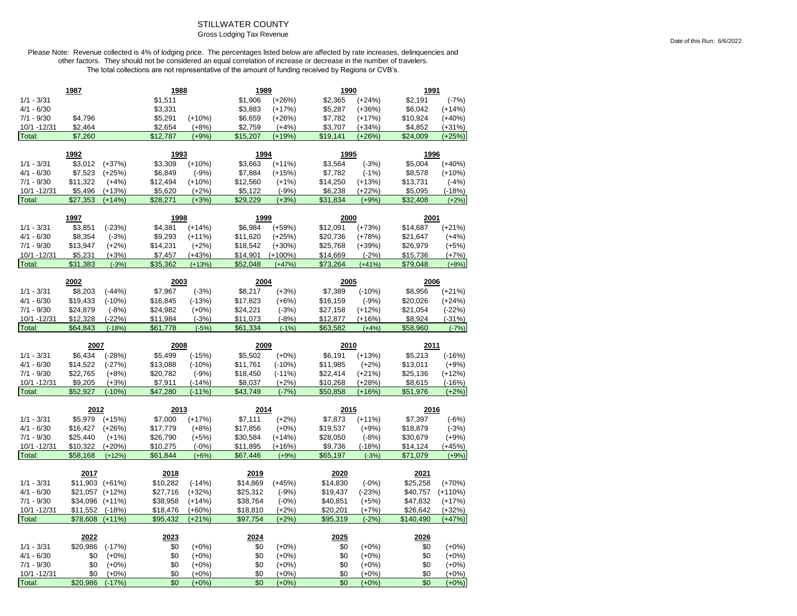# STILLWATER COUNTY

### Gross Lodging Tax Revenue

| 1987         |                     |                     | 1988     |                    | 1989     |                    | 1990     |                    | 1991      |                    |
|--------------|---------------------|---------------------|----------|--------------------|----------|--------------------|----------|--------------------|-----------|--------------------|
| $1/1 - 3/31$ |                     |                     | \$1,511  |                    | \$1,906  | $(+26%)$           | \$2,365  | $(+24%)$           | \$2,191   | $(-7%)$            |
| $4/1 - 6/30$ |                     |                     | \$3,331  |                    | \$3,883  | $(+17%)$           | \$5,287  | $(+36%)$           | \$6,042   | $(+14%)$           |
| $7/1 - 9/30$ | \$4,796             |                     | \$5,291  | $(+10%)$           | \$6,659  | $(+26%)$           | \$7,782  | $(+17%)$           | \$10,924  | $(+40%)$           |
| 10/1 - 12/31 | \$2,464             |                     | \$2,654  | $(+8%)$            | \$2,759  | $(+4%)$            | \$3,707  | $(+34%)$           | \$4,852   | $(+31%)$           |
| Total:       | \$7,260             |                     | \$12,787 | $(+9%)$            | \$15,207 | $(+19%)$           | \$19,141 | $(+26%)$           | \$24,009  | $(+25%)$           |
|              |                     |                     |          |                    |          |                    |          |                    |           |                    |
|              | 1992                |                     | 1993     |                    | 1994     |                    | 1995     |                    | 1996      |                    |
| $1/1 - 3/31$ | \$3,012             | $(+37%)$            | \$3,309  | $(+10%)$           | \$3,663  | $(+11%)$           | \$3,564  | $(-3%)$            | \$5,004   | $(+40%)$           |
| $4/1 - 6/30$ | \$7,523             | $(+25%)$            | \$6,849  | $(-9%)$            | \$7,884  | $(+15%)$           | \$7,782  | $(-1%)$            | \$8,578   | $(+10%)$           |
| $7/1 - 9/30$ | \$11,322            | $(+4%)$             | \$12,494 | $(+10%)$           | \$12,560 | $(+1%)$            | \$14,250 | $(+13%)$           | \$13,731  | $(-4%)$            |
| 10/1 - 12/31 | \$5,496             | $(+13%)$            | \$5,620  | $(+2%)$            | \$5,122  | $(-9%)$            | \$6,238  | (+22%)             | \$5,095   | $(-18%)$           |
| Total:       | \$27,353            | $(+14%)$            | \$28,271 | $(+3%)$            | \$29,229 | $(+3%)$            | \$31,834 | $(+9%)$            | \$32,408  | $(+2%)$            |
|              | 1997                |                     | 1998     |                    | 1999     |                    | 2000     |                    | 2001      |                    |
| $1/1 - 3/31$ | \$3,851             | $(-23%)$            | \$4,381  | $(+14%)$           | \$6,984  | $(+59%)$           | \$12,091 | $(+73%)$           | \$14,687  | $(+21%)$           |
| $4/1 - 6/30$ | \$8,354             | $(-3%)$             | \$9,293  | $(+11%)$           | \$11,620 | $(+25%)$           | \$20,736 | $(+78%)$           | \$21,647  | $(+4%)$            |
| $7/1 - 9/30$ | \$13,947            | $(+2%)$             | \$14,231 | $(+2%)$            | \$18,542 | $(+30%)$           | \$25,768 | $(+39%)$           | \$26,979  | $(+5%)$            |
| 10/1 - 12/31 | \$5,231             | $(+3%)$             | \$7,457  | $(+43%)$           | \$14,901 | $(+100\%)$         | \$14,669 | $(-2%)$            | \$15,736  | $(+7%)$            |
| Total:       | \$31,383            | $(-3%)$             | \$35,362 | $(+13%)$           | \$52.048 | $(+47%)$           | \$73,264 | $(+41%)$           | \$79,048  | $(+8%)$            |
|              |                     |                     |          |                    |          |                    |          |                    |           |                    |
|              | 2002                |                     | 2003     |                    | 2004     |                    | 2005     |                    | 2006      |                    |
| $1/1 - 3/31$ | \$8,203             | $(-44%)$            | \$7,967  | $(-3%)$            | \$8,217  | $(+3%)$            | \$7,389  | $(-10%)$           | \$8,956   | $(+21%)$           |
| $4/1 - 6/30$ | \$19,433            | $(-10%)$            | \$16,845 | $(-13%)$           | \$17,823 | $(+6%)$            | \$16,159 | $(-9%)$            | \$20,026  | $(+24%)$           |
| $7/1 - 9/30$ | \$24,879            | $(-8%)$             | \$24,982 | $(+0%)$            | \$24,221 | $(-3%)$            | \$27,158 | $(+12%)$           | \$21,054  | $(-22%)$           |
| 10/1 - 12/31 | \$12,328            | $(-22%)$            | \$11,984 | $(-3%)$            | \$11,073 | $(-8%)$            | \$12,877 | $(+16%)$           | \$8,924   | $(-31%)$           |
| Total:       | \$64,843            | $(-18%)$            | \$61,778 | $(-5%)$            | \$61,334 | $(-1%)$            | \$63,582 | $(+4%)$            | \$58,960  | $(-7%)$            |
|              |                     |                     |          |                    |          |                    |          |                    |           |                    |
|              |                     |                     |          |                    |          |                    |          |                    |           |                    |
|              | 2007                |                     | 2008     |                    | 2009     |                    | 2010     |                    | 2011      |                    |
| $1/1 - 3/31$ | \$6,434             | $(-28%)$            | \$5,499  | $(-15%)$           | \$5,502  | $(+0%)$            | \$6,191  | $(+13%)$           | \$5,213   | $(-16%)$           |
| $4/1 - 6/30$ | \$14,522            | $(-27%)$            | \$13,088 | $(-10%)$           | \$11,761 | $(-10%)$           | \$11,985 | $(+2%)$            | \$13,011  | $(+9%)$            |
| $7/1 - 9/30$ | \$22,765            | $(+8%)$             | \$20,782 | $(-9%)$            | \$18,450 | $(-11%)$           | \$22,414 | $(+21%)$           | \$25,136  | $(+12%)$           |
| 10/1 - 12/31 | \$9,205             | $(+3%)$             | \$7,911  | $(-14%)$           | \$8,037  | $(+2%)$            | \$10,268 | $(+28%)$           | \$8,615   | $(-16%)$           |
| Total:       | \$52,927            | $(-10%)$            | \$47,280 | $(-11%)$           | \$43,749 | $(-7%)$            | \$50,858 | $(+16%)$           | \$51,976  | $(+2%)$            |
|              | 2012                |                     | 2013     |                    | 2014     |                    | 2015     |                    | 2016      |                    |
| $1/1 - 3/31$ | \$5,979             | $(+15%)$            | \$7,000  | $(+17%)$           | \$7,111  | $(+2%)$            | \$7,873  | $(+11%)$           | \$7,397   | $(-6%)$            |
| $4/1 - 6/30$ | \$16,427            | $(+26%)$            | \$17,779 | $(+8%)$            | \$17,856 | $(+0\%)$           | \$19,537 | $(+9%)$            | \$18,879  | $(-3%)$            |
| $7/1 - 9/30$ | \$25,440            | $(+1%)$             | \$26,790 | $(+5%)$            | \$30,584 | $(+14%)$           | \$28,050 | $(-8%)$            | \$30,679  | $(+9%)$            |
| 10/1 -12/31  | \$10,322            | $(+20%)$            | \$10,275 | $(-0%)$            | \$11,895 | $(+16%)$           | \$9,736  | $(-18%)$           | \$14,124  | $(+45%)$           |
| Total:       | \$58,168            | $(+12%)$            | \$61,844 | $(+6%)$            | \$67.446 | $(+9%)$            | \$65,197 | $(-3%)$            | \$71,079  | $(+9%)$            |
|              |                     |                     |          |                    |          |                    |          |                    |           |                    |
|              | 2017                |                     | 2018     |                    | 2019     |                    | 2020     |                    | 2021      |                    |
| $1/1 - 3/31$ | \$11,903 (+61%)     |                     | \$10,282 | $(-14%)$           | \$14,869 | $(+45%)$           | \$14,830 | $(-0%)$            | \$25,258  | $(+70%)$           |
| $4/1 - 6/30$ | $$21,057$ $(+12\%)$ |                     | \$27,716 | $(+32%)$           | \$25,312 | $(-9%)$            | \$19,437 | $(-23%)$           | \$40,757  | $(+110%)$          |
| $7/1 - 9/30$ | \$34,096 (+11%)     |                     | \$38,958 | $(+14%)$           | \$38,764 | $(-0%)$            | \$40,851 | $(+5%)$            | \$47,832  | $(+17%)$           |
| 10/1 - 12/31 | \$11,552            | $(-18%)$            | \$18,476 | $(+60%)$           | \$18,810 | $(+2%)$            | \$20,201 | $(+7%)$            | \$26,642  | $(+32%)$           |
| Total:       | \$78,608            | $(+11%)$            | \$95,432 | $(+21%)$           | \$97,754 | $(+2%)$            | \$95,319 | $(-2%)$            | \$140.490 | $(+47%)$           |
|              | 2022                |                     | 2023     |                    | 2024     |                    | 2025     |                    | 2026      |                    |
| $1/1 - 3/31$ | \$20,986            | $(-17%)$            | \$0      | $(+0%)$            | \$0      | $(+0%)$            | \$0      | $(+0%)$            | \$0       | $(+0%)$            |
| $4/1 - 6/30$ | \$0                 | $(+0%)$             | \$0      | $(+0%)$            | \$0      | $(+0%)$            | \$0      | $(+0%)$            | \$0       | $(+0%)$            |
| $7/1 - 9/30$ | \$0                 |                     | \$0      |                    | \$0      |                    | \$0      |                    | \$0       |                    |
| 10/1 - 12/31 | \$0                 | $(+0%)$             | \$0      | $(+0%)$            | \$0      | $(+0\%)$           | \$0      | $(+0%)$            | \$0       | $(+0\%)$           |
| Total:       | \$20,986            | $(+0%)$<br>$(-17%)$ | \$0      | $(+0%)$<br>$(+0%)$ | \$0      | $(+0%)$<br>$(+0%)$ | \$0      | $(+0%)$<br>$(+0%)$ | \$0       | $(+0%)$<br>$(+0%)$ |